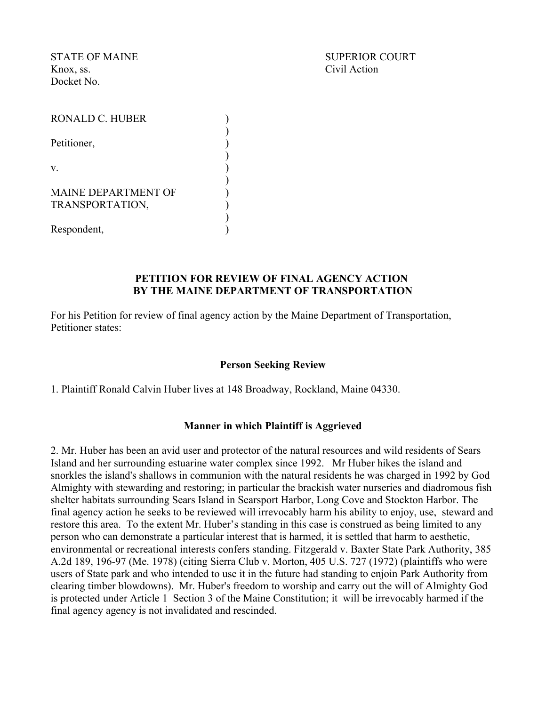Knox, ss. Civil Action Docket No.

STATE OF MAINE SUPERIOR COURT

| RONALD C. HUBER                               |  |
|-----------------------------------------------|--|
| Petitioner,                                   |  |
| V                                             |  |
| <b>MAINE DEPARTMENT OF</b><br>TRANSPORTATION, |  |
| Respondent,                                   |  |

#### **PETITION FOR REVIEW OF FINAL AGENCY ACTION BY THE MAINE DEPARTMENT OF TRANSPORTATION**

For his Petition for review of final agency action by the Maine Department of Transportation, Petitioner states:

## **Person Seeking Review**

1. Plaintiff Ronald Calvin Huber lives at 148 Broadway, Rockland, Maine 04330.

#### **Manner in which Plaintiff is Aggrieved**

2. Mr. Huber has been an avid user and protector of the natural resources and wild residents of Sears Island and her surrounding estuarine water complex since 1992. Mr Huber hikes the island and snorkles the island's shallows in communion with the natural residents he was charged in 1992 by God Almighty with stewarding and restoring; in particular the brackish water nurseries and diadromous fish shelter habitats surrounding Sears Island in Searsport Harbor, Long Cove and Stockton Harbor. The final agency action he seeks to be reviewed will irrevocably harm his ability to enjoy, use, steward and restore this area. To the extent Mr. Huber's standing in this case is construed as being limited to any person who can demonstrate a particular interest that is harmed, it is settled that harm to aesthetic, environmental or recreational interests confers standing. Fitzgerald v. Baxter State Park Authority, 385 A.2d 189, 196-97 (Me. 1978) (citing Sierra Club v. Morton, 405 U.S. 727 (1972) (plaintiffs who were users of State park and who intended to use it in the future had standing to enjoin Park Authority from clearing timber blowdowns). Mr. Huber's freedom to worship and carry out the will of Almighty God is protected under Article 1 Section 3 of the Maine Constitution; it will be irrevocably harmed if the final agency agency is not invalidated and rescinded.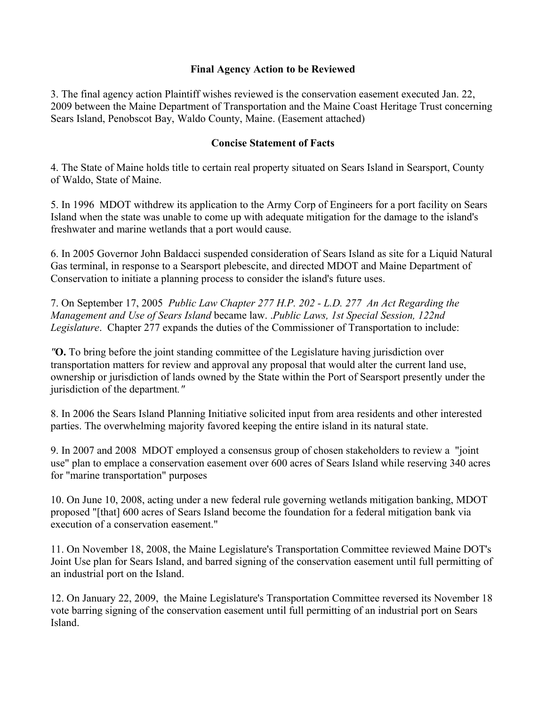## **Final Agency Action to be Reviewed**

3. The final agency action Plaintiff wishes reviewed is the conservation easement executed Jan. 22, 2009 between the Maine Department of Transportation and the Maine Coast Heritage Trust concerning Sears Island, Penobscot Bay, Waldo County, Maine. (Easement attached)

#### **Concise Statement of Facts**

4. The State of Maine holds title to certain real property situated on Sears Island in Searsport, County of Waldo, State of Maine.

5. In 1996 MDOT withdrew its application to the Army Corp of Engineers for a port facility on Sears Island when the state was unable to come up with adequate mitigation for the damage to the island's freshwater and marine wetlands that a port would cause.

6. In 2005 Governor John Baldacci suspended consideration of Sears Island as site for a Liquid Natural Gas terminal, in response to a Searsport plebescite, and directed MDOT and Maine Department of Conservation to initiate a planning process to consider the island's future uses.

7. On September 17, 2005 *Public Law Chapter 277 H.P. 202 - L.D. 277 An Act Regarding the Management and Use of Sears Island* became law. .*Public Laws, 1st Special Session, 122nd Legislature*. Chapter 277 expands the duties of the Commissioner of Transportation to include:

*"***O.** To bring before the joint standing committee of the Legislature having jurisdiction over transportation matters for review and approval any proposal that would alter the current land use, ownership or jurisdiction of lands owned by the State within the Port of Searsport presently under the jurisdiction of the department*."*

8. In 2006 the Sears Island Planning Initiative solicited input from area residents and other interested parties. The overwhelming majority favored keeping the entire island in its natural state.

9. In 2007 and 2008 MDOT employed a consensus group of chosen stakeholders to review a "joint use" plan to emplace a conservation easement over 600 acres of Sears Island while reserving 340 acres for "marine transportation" purposes

10. On June 10, 2008, acting under a new federal rule governing wetlands mitigation banking, MDOT proposed "[that] 600 acres of Sears Island become the foundation for a federal mitigation bank via execution of a conservation easement."

11. On November 18, 2008, the Maine Legislature's Transportation Committee reviewed Maine DOT's Joint Use plan for Sears Island, and barred signing of the conservation easement until full permitting of an industrial port on the Island.

12. On January 22, 2009, the Maine Legislature's Transportation Committee reversed its November 18 vote barring signing of the conservation easement until full permitting of an industrial port on Sears Island.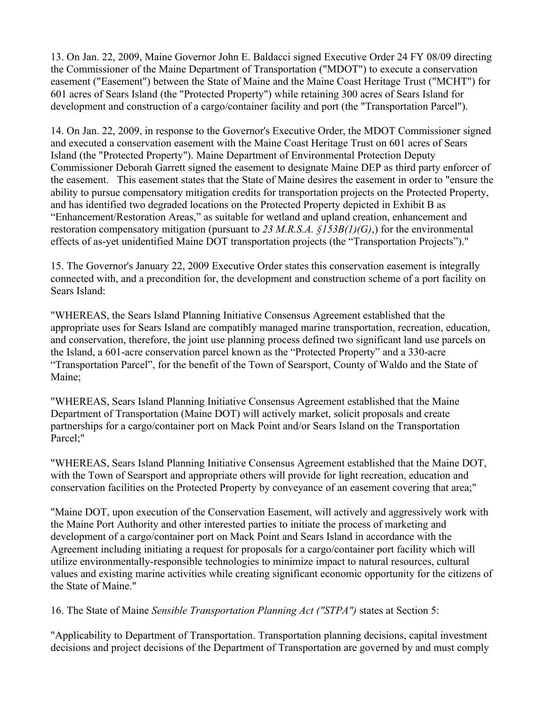13. On Jan. 22, 2009, Maine Governor John E. Baldacci signed Executive Order 24 FY 08/09 directing the Commissioner of the Maine Department of Transportation ("MDOT") to execute a conservation easement ("Easement") between the State of Maine and the Maine Coast Heritage Trust ("MCHT") for 601 acres of Sears Island (the "Protected Property") while retaining 300 acres of Sears Island for development and construction of a cargo/container facility and port (the "Transportation Parcel").

14. On Jan. 22, 2009, in response to the Governor's Executive Order, the MDOT Commissioner signed and executed a conservation easement with the Maine Coast Heritage Trust on 601 acres of Sears Island (the "Protected Property"). Maine Department of Environmental Protection Deputy Commissioner Deborah Garrett signed the easement to designate Maine DEP as third party enforcer of the easement. This easement states that the State of Maine desires the easement in order to "ensure the ability to pursue compensatory mitigation credits for transportation projects on the Protected Property, and has identified two degraded locations on the Protected Property depicted in Exhibit B as "Enhancement/Restoration Areas," as suitable for wetland and upland creation, enhancement and restoration compensatory mitigation (pursuant to *23 M.R.S.A. §153B(1)(G)*,) for the environmental effects of as-yet unidentified Maine DOT transportation projects (the "Transportation Projects")."

15. The Governor's January 22, 2009 Executive Order states this conservation easement is integrally connected with, and a precondition for, the development and construction scheme of a port facility on Sears Island:

"WHEREAS, the Sears Island Planning Initiative Consensus Agreement established that the appropriate uses for Sears Island are compatibly managed marine transportation, recreation, education, and conservation, therefore, the joint use planning process defined two significant land use parcels on the Island, a 601-acre conservation parcel known as the "Protected Property" and a 330-acre "Transportation Parcel", for the benefit of the Town of Searsport, County of Waldo and the State of Maine;

"WHEREAS, Sears Island Planning Initiative Consensus Agreement established that the Maine Department of Transportation (Maine DOT) will actively market, solicit proposals and create partnerships for a cargo/container port on Mack Point and/or Sears Island on the Transportation Parcel;"

"WHEREAS, Sears Island Planning Initiative Consensus Agreement established that the Maine DOT, with the Town of Searsport and appropriate others will provide for light recreation, education and conservation facilities on the Protected Property by conveyance of an easement covering that area;"

"Maine DOT, upon execution of the Conservation Easement, will actively and aggressively work with the Maine Port Authority and other interested parties to initiate the process of marketing and development of a cargo/container port on Mack Point and Sears Island in accordance with the Agreement including initiating a request for proposals for a cargo/container port facility which will utilize environmentally-responsible technologies to minimize impact to natural resources, cultural values and existing marine activities while creating significant economic opportunity for the citizens of the State of Maine."

16. The State of Maine *Sensible Transportation Planning Act ("STPA")* states at Section 5:

"Applicability to Department of Transportation. Transportation planning decisions, capital investment decisions and project decisions of the Department of Transportation are governed by and must comply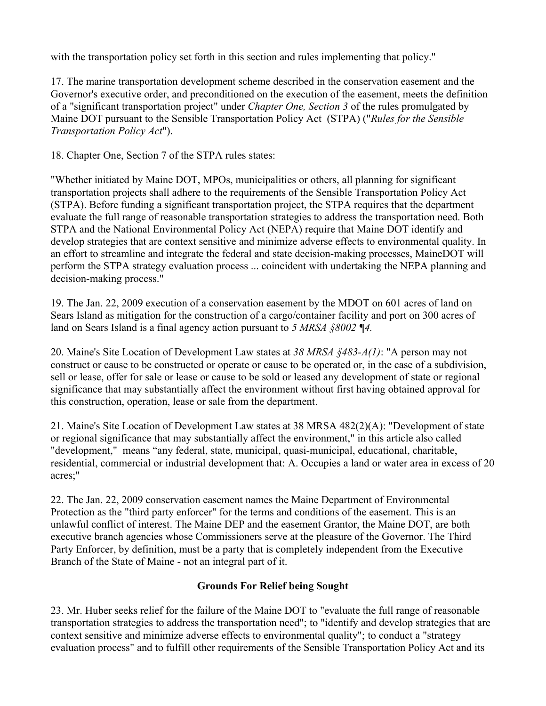with the transportation policy set forth in this section and rules implementing that policy."

17. The marine transportation development scheme described in the conservation easement and the Governor's executive order, and preconditioned on the execution of the easement, meets the definition of a "significant transportation project" under *Chapter One, Section 3* of the rules promulgated by Maine DOT pursuant to the Sensible Transportation Policy Act (STPA) ("*Rules for the Sensible Transportation Policy Act*").

18. Chapter One, Section 7 of the STPA rules states:

"Whether initiated by Maine DOT, MPOs, municipalities or others, all planning for significant transportation projects shall adhere to the requirements of the Sensible Transportation Policy Act (STPA). Before funding a significant transportation project, the STPA requires that the department evaluate the full range of reasonable transportation strategies to address the transportation need. Both STPA and the National Environmental Policy Act (NEPA) require that Maine DOT identify and develop strategies that are context sensitive and minimize adverse effects to environmental quality. In an effort to streamline and integrate the federal and state decision-making processes, MaineDOT will perform the STPA strategy evaluation process ... coincident with undertaking the NEPA planning and decision-making process."

19. The Jan. 22, 2009 execution of a conservation easement by the MDOT on 601 acres of land on Sears Island as mitigation for the construction of a cargo/container facility and port on 300 acres of land on Sears Island is a final agency action pursuant to *5 MRSA §8002 ¶4.*

20. Maine's Site Location of Development Law states at *38 MRSA §483-A(1)*: "A person may not construct or cause to be constructed or operate or cause to be operated or, in the case of a subdivision, sell or lease, offer for sale or lease or cause to be sold or leased any development of state or regional significance that may substantially affect the environment without first having obtained approval for this construction, operation, lease or sale from the department.

21. Maine's Site Location of Development Law states at 38 MRSA 482(2)(A): "Development of state or regional significance that may substantially affect the environment," in this article also called "development," means "any federal, state, municipal, quasi-municipal, educational, charitable, residential, commercial or industrial development that: A. Occupies a land or water area in excess of 20 acres;"

22. The Jan. 22, 2009 conservation easement names the Maine Department of Environmental Protection as the "third party enforcer" for the terms and conditions of the easement. This is an unlawful conflict of interest. The Maine DEP and the easement Grantor, the Maine DOT, are both executive branch agencies whose Commissioners serve at the pleasure of the Governor. The Third Party Enforcer, by definition, must be a party that is completely independent from the Executive Branch of the State of Maine - not an integral part of it.

# **Grounds For Relief being Sought**

23. Mr. Huber seeks relief for the failure of the Maine DOT to "evaluate the full range of reasonable transportation strategies to address the transportation need"; to "identify and develop strategies that are context sensitive and minimize adverse effects to environmental quality"; to conduct a "strategy evaluation process" and to fulfill other requirements of the Sensible Transportation Policy Act and its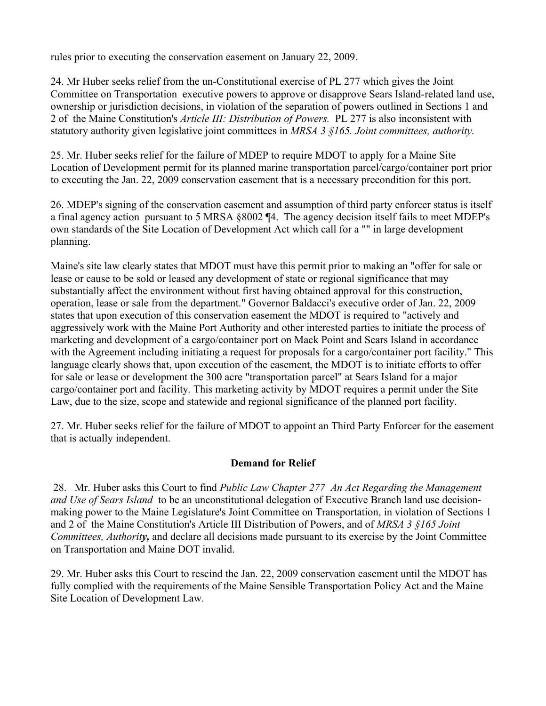rules prior to executing the conservation easement on January 22, 2009.

24. Mr Huber seeks relief from the un-Constitutional exercise of PL 277 which gives the Joint Committee on Transportation executive powers to approve or disapprove Sears Island-related land use, ownership or jurisdiction decisions, in violation of the separation of powers outlined in Sections 1 and 2 of the Maine Constitution's *Article III: Distribution of Powers.* PL 277 is also inconsistent with statutory authority given legislative joint committees in *MRSA 3 §165. Joint committees, authority.*

25. Mr. Huber seeks relief for the failure of MDEP to require MDOT to apply for a Maine Site Location of Development permit for its planned marine transportation parcel/cargo/container port prior to executing the Jan. 22, 2009 conservation easement that is a necessary precondition for this port.

26. MDEP's signing of the conservation easement and assumption of third party enforcer status is itself a final agency action pursuant to 5 MRSA §8002 ¶4. The agency decision itself fails to meet MDEP's own standards of the Site Location of Development Act which call for a "" in large development planning.

Maine's site law clearly states that MDOT must have this permit prior to making an "offer for sale or lease or cause to be sold or leased any development of state or regional significance that may substantially affect the environment without first having obtained approval for this construction, operation, lease or sale from the department." Governor Baldacci's executive order of Jan. 22, 2009 states that upon execution of this conservation easement the MDOT is required to "actively and aggressively work with the Maine Port Authority and other interested parties to initiate the process of marketing and development of a cargo/container port on Mack Point and Sears Island in accordance with the Agreement including initiating a request for proposals for a cargo/container port facility." This language clearly shows that, upon execution of the easement, the MDOT is to initiate efforts to offer for sale or lease or development the 300 acre "transportation parcel" at Sears Island for a major cargo/container port and facility. This marketing activity by MDOT requires a permit under the Site Law, due to the size, scope and statewide and regional significance of the planned port facility.

27. Mr. Huber seeks relief for the failure of MDOT to appoint an Third Party Enforcer for the easement that is actually independent.

# **Demand for Relief**

 28. Mr. Huber asks this Court to find *Public Law Chapter 277 An Act Regarding the Management and Use of Sears Island* to be an unconstitutional delegation of Executive Branch land use decisionmaking power to the Maine Legislature's Joint Committee on Transportation, in violation of Sections 1 and 2 of the Maine Constitution's Article III Distribution of Powers, and of *MRSA 3 §165 Joint Committees, Authority,* and declare all decisions made pursuant to its exercise by the Joint Committee on Transportation and Maine DOT invalid.

29. Mr. Huber asks this Court to rescind the Jan. 22, 2009 conservation easement until the MDOT has fully complied with the requirements of the Maine Sensible Transportation Policy Act and the Maine Site Location of Development Law.